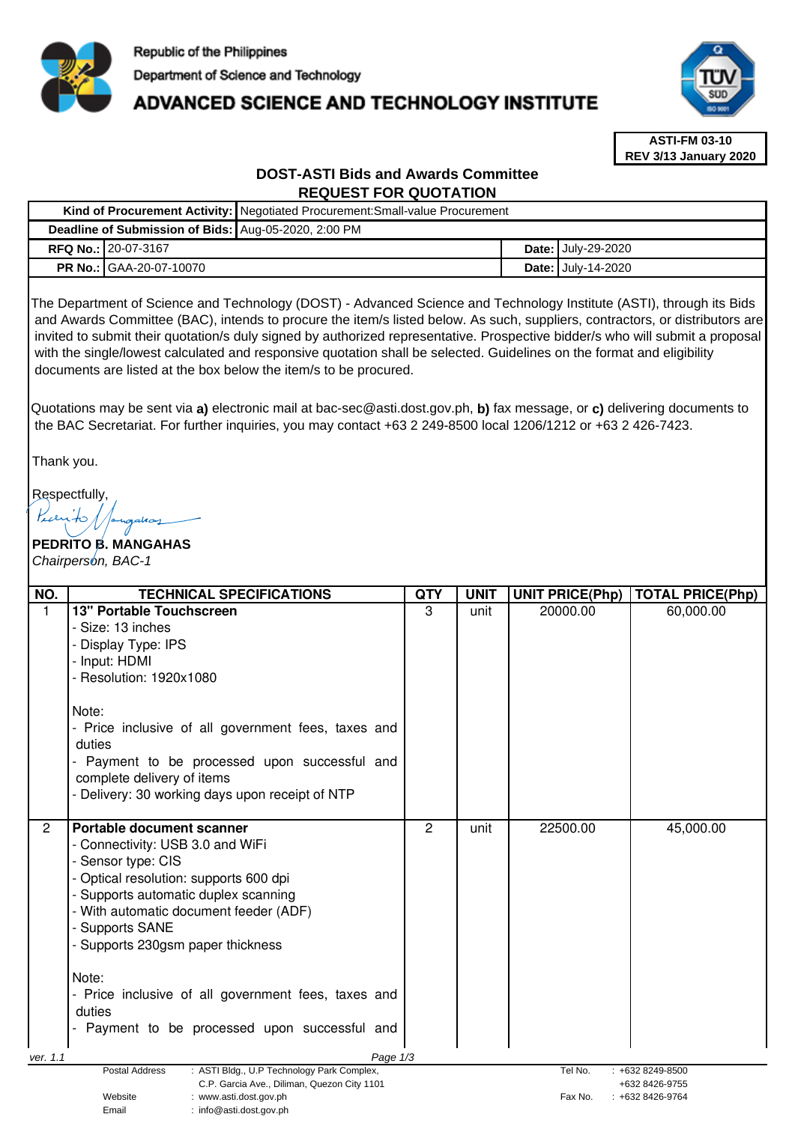

# **ADVANCED SCIENCE AND TECHNOLOGY INSTITUTE**



**ASTI-FM 03-10 REV 3/13 January 2020**

# **DOST-ASTI Bids and Awards Committee REQUEST FOR QUOTATION**

|                                                      |                                | Kind of Procurement Activity:   Negotiated Procurement: Small-value Procurement |  |                           |  |  |
|------------------------------------------------------|--------------------------------|---------------------------------------------------------------------------------|--|---------------------------|--|--|
| Deadline of Submission of Bids: Aug-05-2020, 2:00 PM |                                |                                                                                 |  |                           |  |  |
|                                                      | <b>RFQ No.: 20-07-3167</b>     |                                                                                 |  | <b>Date: July-29-2020</b> |  |  |
|                                                      | <b>PR No.: GAA-20-07-10070</b> |                                                                                 |  | <b>Date: July-14-2020</b> |  |  |

The Department of Science and Technology (DOST) - Advanced Science and Technology Institute (ASTI), through its Bids and Awards Committee (BAC), intends to procure the item/s listed below. As such, suppliers, contractors, or distributors are invited to submit their quotation/s duly signed by authorized representative. Prospective bidder/s who will submit a proposal with the single/lowest calculated and responsive quotation shall be selected. Guidelines on the format and eligibility documents are listed at the box below the item/s to be procured.

Quotations may be sent via **a)** electronic mail at bac-sec@asti.dost.gov.ph, **b)** fax message, or **c)** delivering documents to the BAC Secretariat. For further inquiries, you may contact +63 2 249-8500 local 1206/1212 or +63 2 426-7423.

Thank you.

Respectfully,

**PEDRITO B. MANGAHAS**  Chairperson, BAC-1

| NO.            | <b>TECHNICAL SPECIFICATIONS</b>                                                                             | <b>QTY</b> | <b>UNIT</b> | <b>UNIT PRICE(Php)</b> | <b>TOTAL PRICE(Php)</b>               |
|----------------|-------------------------------------------------------------------------------------------------------------|------------|-------------|------------------------|---------------------------------------|
| $\mathbf{1}$   | <b>13" Portable Touchscreen</b>                                                                             | 3          | unit        | 20000.00               | 60,000.00                             |
|                | - Size: 13 inches                                                                                           |            |             |                        |                                       |
|                | - Display Type: IPS                                                                                         |            |             |                        |                                       |
|                | - Input: HDMI                                                                                               |            |             |                        |                                       |
|                | - Resolution: 1920x1080                                                                                     |            |             |                        |                                       |
|                | Note:                                                                                                       |            |             |                        |                                       |
|                | - Price inclusive of all government fees, taxes and<br>duties                                               |            |             |                        |                                       |
|                | - Payment to be processed upon successful and                                                               |            |             |                        |                                       |
|                | complete delivery of items                                                                                  |            |             |                        |                                       |
|                | - Delivery: 30 working days upon receipt of NTP                                                             |            |             |                        |                                       |
|                |                                                                                                             |            |             |                        |                                       |
| $\overline{2}$ | Portable document scanner                                                                                   | 2          | unit        | 22500.00               | 45,000.00                             |
|                | - Connectivity: USB 3.0 and WiFi                                                                            |            |             |                        |                                       |
|                | - Sensor type: CIS<br>- Optical resolution: supports 600 dpi                                                |            |             |                        |                                       |
|                |                                                                                                             |            |             |                        |                                       |
|                | - Supports automatic duplex scanning                                                                        |            |             |                        |                                       |
|                | - With automatic document feeder (ADF)<br>- Supports SANE                                                   |            |             |                        |                                       |
|                | - Supports 230gsm paper thickness                                                                           |            |             |                        |                                       |
|                |                                                                                                             |            |             |                        |                                       |
|                | Note:                                                                                                       |            |             |                        |                                       |
|                | - Price inclusive of all government fees, taxes and                                                         |            |             |                        |                                       |
|                | duties                                                                                                      |            |             |                        |                                       |
|                | Payment to be processed upon successful and                                                                 |            |             |                        |                                       |
| ver. 1.1       | Page 1/3                                                                                                    |            |             |                        |                                       |
|                | : ASTI Bldg., U.P Technology Park Complex,<br>Postal Address<br>C.P. Garcia Ave., Diliman, Quezon City 1101 |            |             | Tel No.                | $: +6328249 - 8500$<br>+632 8426-9755 |
|                | Website<br>: www.asti.dost.gov.ph                                                                           |            |             | Fax No.                | $: +6328426 - 9764$                   |
|                | $\cdot$ info@asti dost gov ph<br>Fmail                                                                      |            |             |                        |                                       |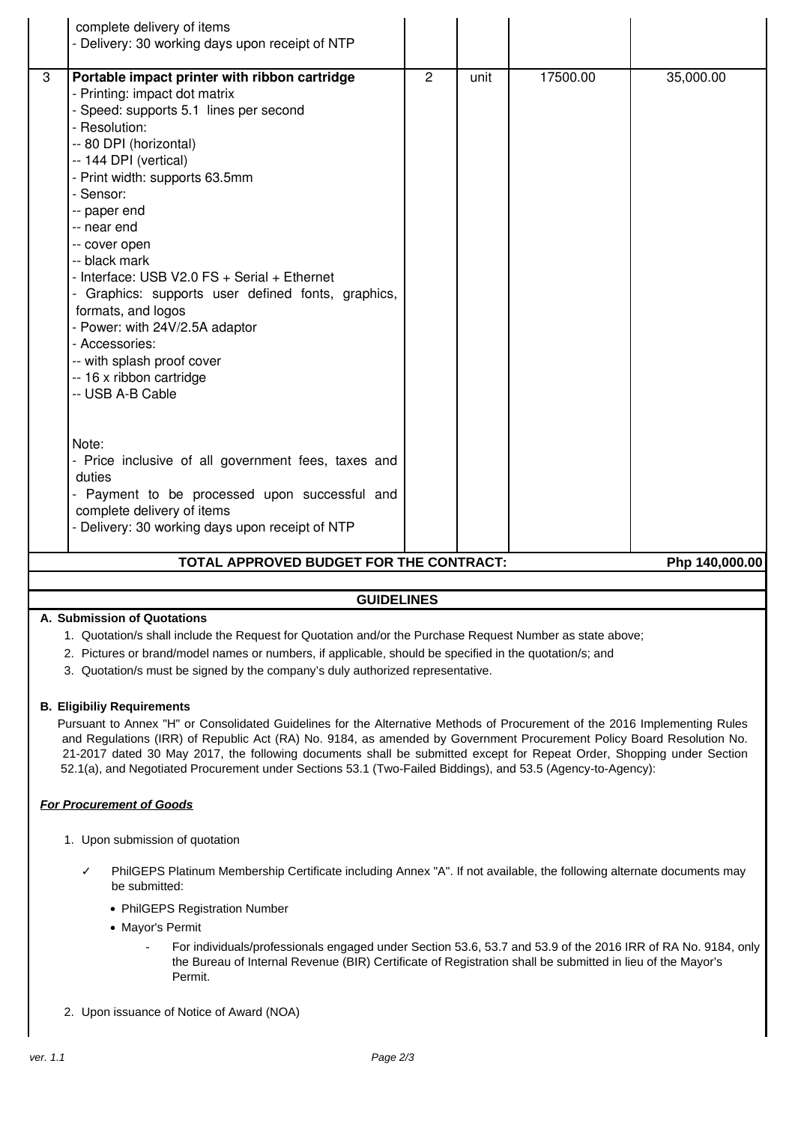|                                                           | complete delivery of items<br>- Delivery: 30 working days upon receipt of NTP                                                                                                                                                                                                                                                                                                                                                                                                                                                                                                                                                                        |                |      |          |           |  |  |
|-----------------------------------------------------------|------------------------------------------------------------------------------------------------------------------------------------------------------------------------------------------------------------------------------------------------------------------------------------------------------------------------------------------------------------------------------------------------------------------------------------------------------------------------------------------------------------------------------------------------------------------------------------------------------------------------------------------------------|----------------|------|----------|-----------|--|--|
|                                                           |                                                                                                                                                                                                                                                                                                                                                                                                                                                                                                                                                                                                                                                      |                |      |          |           |  |  |
| 3                                                         | Portable impact printer with ribbon cartridge<br>- Printing: impact dot matrix<br>- Speed: supports 5.1 lines per second<br>- Resolution:<br>-- 80 DPI (horizontal)<br>-- 144 DPI (vertical)<br>- Print width: supports 63.5mm<br>- Sensor:<br>-- paper end<br>-- near end<br>-- cover open<br>-- black mark<br>- Interface: USB V2.0 FS + Serial + Ethernet<br>- Graphics: supports user defined fonts, graphics,<br>formats, and logos<br>- Power: with 24V/2.5A adaptor<br>- Accessories:<br>-- with splash proof cover<br>-- 16 x ribbon cartridge<br>-- USB A-B Cable<br>Note:<br>- Price inclusive of all government fees, taxes and<br>duties | $\overline{2}$ | unit | 17500.00 | 35,000.00 |  |  |
|                                                           | - Payment to be processed upon successful and<br>complete delivery of items<br>- Delivery: 30 working days upon receipt of NTP                                                                                                                                                                                                                                                                                                                                                                                                                                                                                                                       |                |      |          |           |  |  |
|                                                           |                                                                                                                                                                                                                                                                                                                                                                                                                                                                                                                                                                                                                                                      |                |      |          |           |  |  |
| TOTAL APPROVED BUDGET FOR THE CONTRACT:<br>Php 140,000.00 |                                                                                                                                                                                                                                                                                                                                                                                                                                                                                                                                                                                                                                                      |                |      |          |           |  |  |
|                                                           |                                                                                                                                                                                                                                                                                                                                                                                                                                                                                                                                                                                                                                                      |                |      |          |           |  |  |

## **GUIDELINES**

#### **A. Submission of Quotations**

- 1. Quotation/s shall include the Request for Quotation and/or the Purchase Request Number as state above;
- 2. Pictures or brand/model names or numbers, if applicable, should be specified in the quotation/s; and
- 3. Quotation/s must be signed by the company's duly authorized representative.

#### **B. Eligibiliy Requirements**

Pursuant to Annex "H" or Consolidated Guidelines for the Alternative Methods of Procurement of the 2016 Implementing Rules and Regulations (IRR) of Republic Act (RA) No. 9184, as amended by Government Procurement Policy Board Resolution No. 21-2017 dated 30 May 2017, the following documents shall be submitted except for Repeat Order, Shopping under Section 52.1(a), and Negotiated Procurement under Sections 53.1 (Two-Failed Biddings), and 53.5 (Agency-to-Agency):

### **For Procurement of Goods**

- 1. Upon submission of quotation
	- PhilGEPS Platinum Membership Certificate including Annex "A". If not available, the following alternate documents may be submitted:
		- PhilGEPS Registration Number
		- Mayor's Permit
			- For individuals/professionals engaged under Section 53.6, 53.7 and 53.9 of the 2016 IRR of RA No. 9184, only the Bureau of Internal Revenue (BIR) Certificate of Registration shall be submitted in lieu of the Mayor's Permit.
- 2. Upon issuance of Notice of Award (NOA)